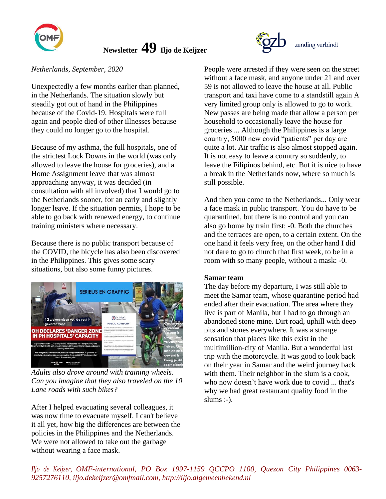

# **Newsletter 49 Iljo de Keijzer**

## *Netherlands, September, 2020*

Unexpectedly a few months earlier than planned, in the Netherlands. The situation slowly but steadily got out of hand in the Philippines because of the Covid-19. Hospitals were full again and people died of other illnesses because they could no longer go to the hospital.

Because of my asthma, the full hospitals, one of the strictest Lock Downs in the world (was only allowed to leave the house for groceries), and a Home Assignment leave that was almost approaching anyway, it was decided (in consultation with all involved) that I would go to the Netherlands sooner, for an early and slightly longer leave. If the situation permits, I hope to be able to go back with renewed energy, to continue training ministers where necessary.

Because there is no public transport because of the COVID, the bicycle has also been discovered in the Philippines. This gives some scary situations, but also some funny pictures.



*Adults also drove around with training wheels. Can you imagine that they also traveled on the 10 Lane roads with such bikes?*

After I helped evacuating several colleagues, it was now time to evacuate myself. I can't believe it all yet, how big the differences are between the policies in the Philippines and the Netherlands. We were not allowed to take out the garbage without wearing a face mask.

People were arrested if they were seen on the street without a face mask, and anyone under 21 and over 59 is not allowed to leave the house at all. Public transport and taxi have come to a standstill again A very limited group only is allowed to go to work. New passes are being made that allow a person per household to occasionally leave the house for groceries ... Although the Philippines is a large country, 5000 new covid "patients" per day are quite a lot. Air traffic is also almost stopped again. It is not easy to leave a country so suddenly, to leave the Filipinos behind, etc. But it is nice to have a break in the Netherlands now, where so much is still possible.

And then you come to the Netherlands... Only wear a face mask in public transport. You do have to be quarantined, but there is no control and you can also go home by train first: -0. Both the churches and the terraces are open, to a certain extent. On the one hand it feels very free, on the other hand I did not dare to go to church that first week, to be in a room with so many people, without a mask: -0.

#### **Samar team**

The day before my departure, I was still able to meet the Samar team, whose quarantine period had ended after their evacuation. The area where they live is part of Manila, but I had to go through an abandoned stone mine. Dirt road, uphill with deep pits and stones everywhere. It was a strange sensation that places like this exist in the multimillion-city of Manila. But a wonderful last trip with the motorcycle. It was good to look back on their year in Samar and the weird journey back with them. Their neighbor in the slum is a cook, who now doesn't have work due to covid ... that's why we had great restaurant quality food in the slums  $:-$ ).

*Iljo de Keijzer, OMF-international, PO Box 1997-1159 QCCPO 1100, Quezon City Philippines 0063- 9257276110, iljo.dekeijzer@omfmail.com, http://iljo.algemeenbekend.nl*

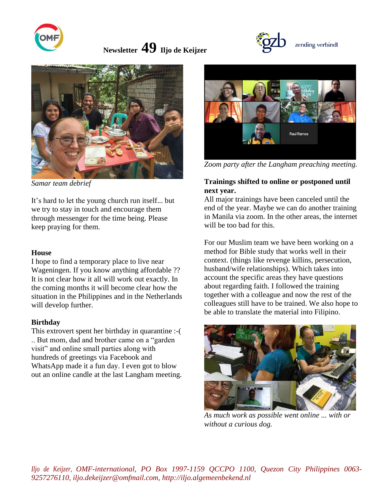

 **Newsletter 49 Iljo de Keijzer** 



*Samar team debrief*

It's hard to let the young church run itself... but we try to stay in touch and encourage them through messenger for the time being. Please keep praying for them.

#### **House**

I hope to find a temporary place to live near Wageningen. If you know anything affordable ?? It is not clear how it all will work out exactly. In the coming months it will become clear how the situation in the Philippines and in the Netherlands will develop further.

#### **Birthday**

This extrovert spent her birthday in quarantine :-( .. But mom, dad and brother came on a "garden visit" and online small parties along with hundreds of greetings via Facebook and WhatsApp made it a fun day. I even got to blow out an online candle at the last Langham meeting.



zending verbindt

*Zoom party after the Langham preaching meeting.*

### **Trainings shifted to online or postponed until next year.**

All major trainings have been canceled until the end of the year. Maybe we can do another training in Manila via zoom. In the other areas, the internet will be too bad for this.

For our Muslim team we have been working on a method for Bible study that works well in their context. (things like revenge killins, persecution, husband/wife relationships). Which takes into account the specific areas they have questions about regarding faith. I followed the training together with a colleague and now the rest of the colleagues still have to be trained. We also hope to be able to translate the material into Filipino.



*As much work as possible went online ... with or without a curious dog.*

*Iljo de Keijzer, OMF-international, PO Box 1997-1159 QCCPO 1100, Quezon City Philippines 0063- 9257276110, iljo.dekeijzer@omfmail.com, http://iljo.algemeenbekend.nl*